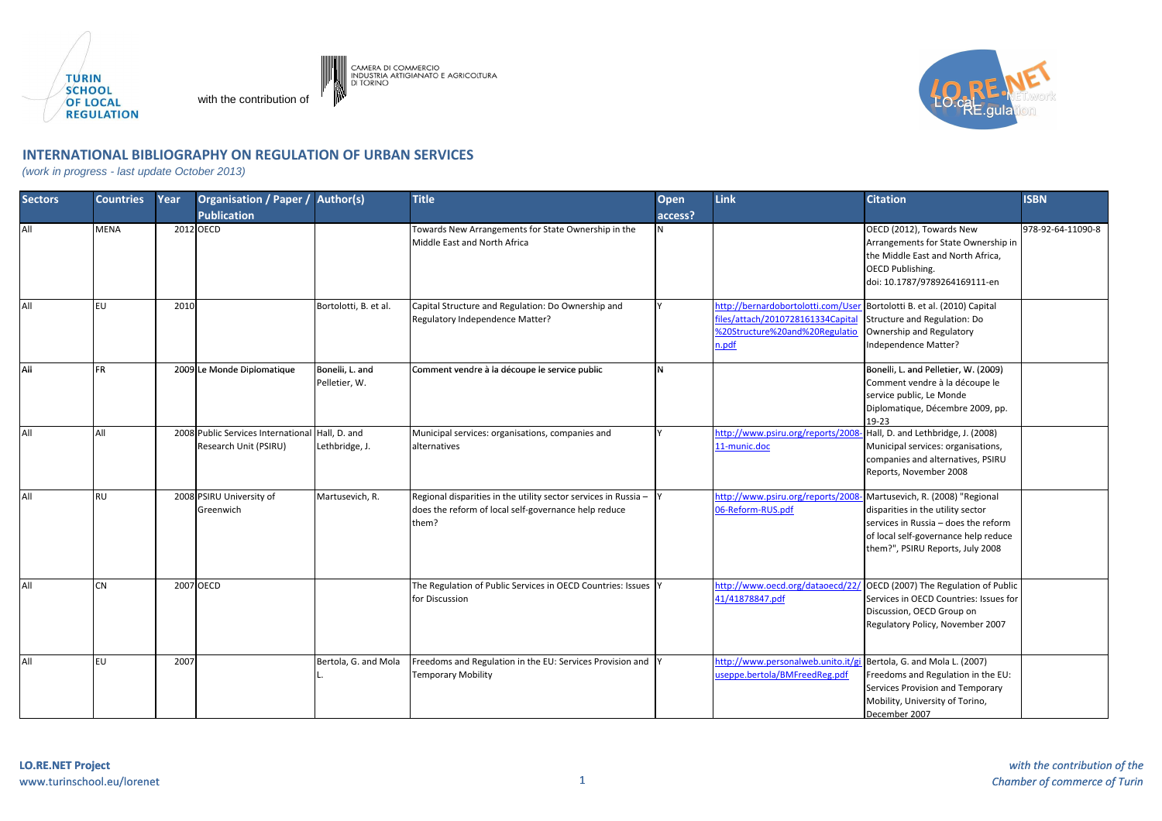

with the contribution of



## **INTERNATIONAL BIBLIOGRAPHY ON REGULATION OF URBAN SERVICES**

CAMERA DI COMMERCIO<br>INDUSTRIA ARTIGIANATO E AGRICOLTURA<br>DI TORINO

(work in progress - last update October 2013)

| <b>Sectors</b> | <b>Countries</b> | Year | <b>Organisation / Paper /</b>                               | Author(s)                        | <b>Title</b>                                                                                                                         | <b>Open</b> | Link                                                                                                              | <b>Citation</b>                                                                                                                                                                           | <b>ISBN</b>       |
|----------------|------------------|------|-------------------------------------------------------------|----------------------------------|--------------------------------------------------------------------------------------------------------------------------------------|-------------|-------------------------------------------------------------------------------------------------------------------|-------------------------------------------------------------------------------------------------------------------------------------------------------------------------------------------|-------------------|
|                |                  |      | <b>Publication</b>                                          |                                  |                                                                                                                                      | access?     |                                                                                                                   |                                                                                                                                                                                           |                   |
| All            | <b>MENA</b>      |      | 2012 OECD                                                   |                                  | Towards New Arrangements for State Ownership in the<br>Middle East and North Africa                                                  | N           |                                                                                                                   | OECD (2012), Towards New<br>Arrangements for State Ownership in<br>the Middle East and North Africa,<br><b>OECD Publishing.</b><br>doi: 10.1787/9789264169111-en                          | 978-92-64-11090-8 |
| All            | EU               | 2010 |                                                             | Bortolotti, B. et al.            | Capital Structure and Regulation: Do Ownership and<br>Regulatory Independence Matter?                                                |             | http://bernardobortolotti.com/Use<br>files/attach/2010728161334 Capita<br>%20Structure%20and%20Regulatio<br>n.pdf | Bortolotti B. et al. (2010) Capital<br>Structure and Regulation: Do<br>Ownership and Regulatory<br>Independence Matter?                                                                   |                   |
| All            | <b>FR</b>        |      | 2009 Le Monde Diplomatique                                  | Bonelli, L. and<br>Pelletier, W. | Comment vendre à la découpe le service public                                                                                        | N           |                                                                                                                   | Bonelli, L. and Pelletier, W. (2009)<br>Comment vendre à la découpe le<br>service public, Le Monde<br>Diplomatique, Décembre 2009, pp.<br>$19-23$                                         |                   |
| All            | All              |      | 2008 Public Services International<br>Research Unit (PSIRU) | Hall, D. and<br>Lethbridge, J.   | Municipal services: organisations, companies and<br>alternatives                                                                     | v           | http://www.psiru.org/reports/2008<br>11-munic.doc                                                                 | Hall, D. and Lethbridge, J. (2008)<br>Municipal services: organisations,<br>companies and alternatives, PSIRU<br>Reports, November 2008                                                   |                   |
| All            | <b>RU</b>        |      | 2008 PSIRU University of<br>Greenwich                       | Martusevich, R.                  | Regional disparities in the utility sector services in Russia $-$ Y<br>does the reform of local self-governance help reduce<br>them? |             | http://www.psiru.org/reports/200<br>06-Reform-RUS.pdf                                                             | Martusevich, R. (2008) "Regional<br>disparities in the utility sector<br>services in Russia - does the reform<br>of local self-governance help reduce<br>them?", PSIRU Reports, July 2008 |                   |
| All            | <b>CN</b>        |      | 2007 OECD                                                   |                                  | The Regulation of Public Services in OECD Countries: Issues Y<br>for Discussion                                                      |             | 41/41878847.pdf                                                                                                   | http://www.oecd.org/dataoecd/22/ OECD (2007) The Regulation of Public<br>Services in OECD Countries: Issues for<br>Discussion, OECD Group on<br>Regulatory Policy, November 2007          |                   |
| All            | <b>EU</b>        | 2007 |                                                             | Bertola, G. and Mola             | Freedoms and Regulation in the EU: Services Provision and Y<br><b>Temporary Mobility</b>                                             |             | http://www.personalweb.unito.it/gi Bertola, G. and Mola L. (2007)<br>useppe.bertola/BMFreedReg.pdf                | Freedoms and Regulation in the EU:<br>Services Provision and Temporary<br>Mobility, University of Torino,<br>December 2007                                                                |                   |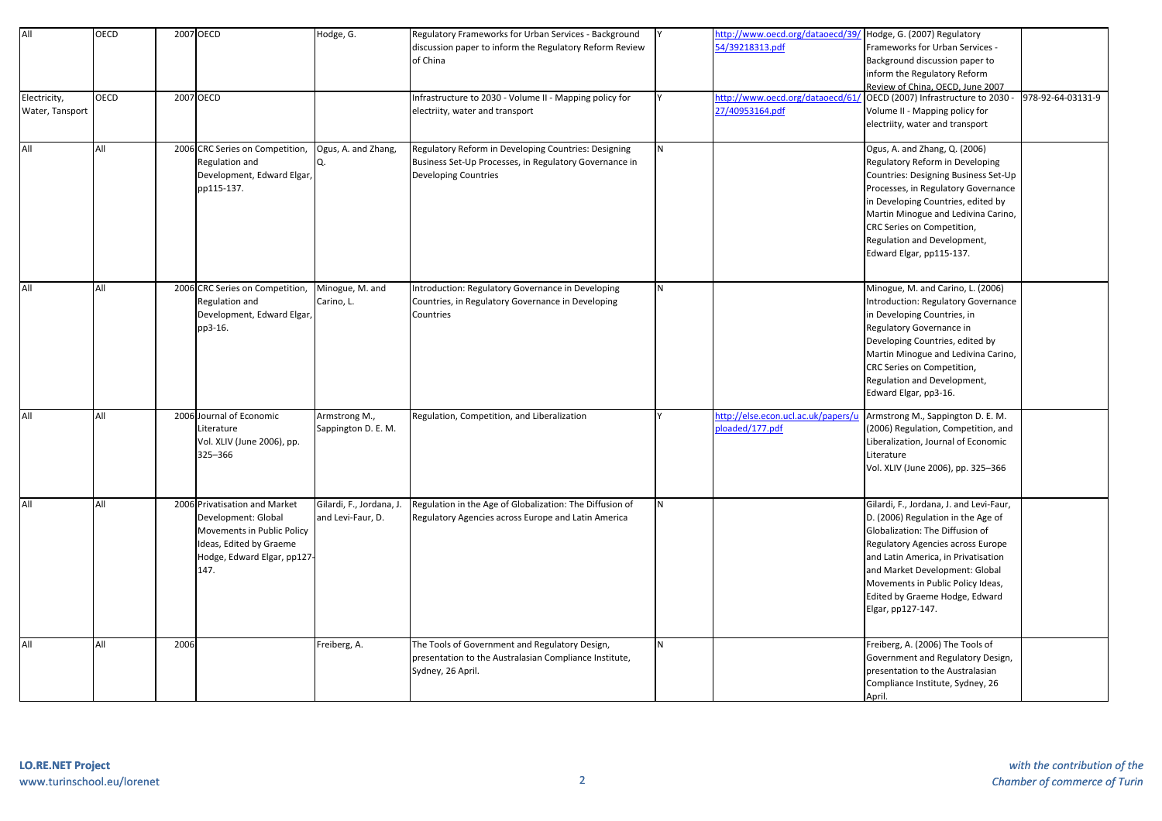| All                             | <b>OECD</b> |      | 2007 OECD                                                                                                                                            | Hodge, G.                                     | Regulatory Frameworks for Urban Services - Background<br>discussion paper to inform the Regulatory Reform Review<br>of China           |          | ttp://www.oecd.org/dataoecd/39/<br>4/39218313.pdf    | Hodge, G. (2007) Regulatory<br>Frameworks for Urban Services -<br>Background discussion paper to<br>inform the Regulatory Reform<br>Review of China, OECD, June 2007                                                                                                                                                       |                   |
|---------------------------------|-------------|------|------------------------------------------------------------------------------------------------------------------------------------------------------|-----------------------------------------------|----------------------------------------------------------------------------------------------------------------------------------------|----------|------------------------------------------------------|----------------------------------------------------------------------------------------------------------------------------------------------------------------------------------------------------------------------------------------------------------------------------------------------------------------------------|-------------------|
| Electricity,<br>Water, Tansport | OECD        |      | 2007 OECD                                                                                                                                            |                                               | Infrastructure to 2030 - Volume II - Mapping policy for<br>electriity, water and transport                                             |          | ttp://www.oecd.org/dataoecd/61<br>27/40953164.pdf    | OECD (2007) Infrastructure to 2030 -<br>Volume II - Mapping policy for<br>electriity, water and transport                                                                                                                                                                                                                  | 978-92-64-03131-9 |
| All                             | All         |      | 2006 CRC Series on Competition,<br>Regulation and<br>Development, Edward Elgar,<br>pp115-137.                                                        | Ogus, A. and Zhang,                           | Regulatory Reform in Developing Countries: Designing<br>Business Set-Up Processes, in Regulatory Governance in<br>Developing Countries | N        |                                                      | Ogus, A. and Zhang, Q. (2006)<br>Regulatory Reform in Developing<br>Countries: Designing Business Set-Up<br>Processes, in Regulatory Governance<br>in Developing Countries, edited by<br>Martin Minogue and Ledivina Carino,<br>CRC Series on Competition,<br>Regulation and Development,<br>Edward Elgar, pp115-137.      |                   |
| All                             | All         |      | 2006 CRC Series on Competition,<br>Regulation and<br>Development, Edward Elgar,<br>pp3-16.                                                           | Minogue, M. and<br>Carino, L.                 | Introduction: Regulatory Governance in Developing<br>Countries, in Regulatory Governance in Developing<br>Countries                    | N        |                                                      | Minogue, M. and Carino, L. (2006)<br>Introduction: Regulatory Governance<br>in Developing Countries, in<br>Regulatory Governance in<br>Developing Countries, edited by<br>Martin Minogue and Ledivina Carino,<br>CRC Series on Competition,<br>Regulation and Development,<br>Edward Elgar, pp3-16.                        |                   |
| All                             | All         |      | 2006 Journal of Economic<br>Literature<br>Vol. XLIV (June 2006), pp.<br>325-366                                                                      | Armstrong M.,<br>Sappington D. E. M.          | Regulation, Competition, and Liberalization                                                                                            |          | ttp://else.econ.ucl.ac.uk/papers/u<br>loaded/177.pdf | Armstrong M., Sappington D. E. M.<br>(2006) Regulation, Competition, and<br>Liberalization, Journal of Economic<br>Literature<br>Vol. XLIV (June 2006), pp. 325-366                                                                                                                                                        |                   |
| All                             | All         |      | 2006 Privatisation and Market<br>Development: Global<br>Movements in Public Policy<br>Ideas, Edited by Graeme<br>Hodge, Edward Elgar, pp127-<br>147. | Gilardi, F., Jordana, J.<br>and Levi-Faur, D. | Regulation in the Age of Globalization: The Diffusion of<br>Regulatory Agencies across Europe and Latin America                        | <b>N</b> |                                                      | Gilardi, F., Jordana, J. and Levi-Faur,<br>D. (2006) Regulation in the Age of<br>Globalization: The Diffusion of<br>Regulatory Agencies across Europe<br>and Latin America, in Privatisation<br>and Market Development: Global<br>Movements in Public Policy Ideas,<br>Edited by Graeme Hodge, Edward<br>Elgar, pp127-147. |                   |
| All                             | All         | 2006 |                                                                                                                                                      | Freiberg, A.                                  | The Tools of Government and Regulatory Design,<br>presentation to the Australasian Compliance Institute,<br>Sydney, 26 April.          | IN.      |                                                      | Freiberg, A. (2006) The Tools of<br>Government and Regulatory Design,<br>presentation to the Australasian<br>Compliance Institute, Sydney, 26<br>April.                                                                                                                                                                    |                   |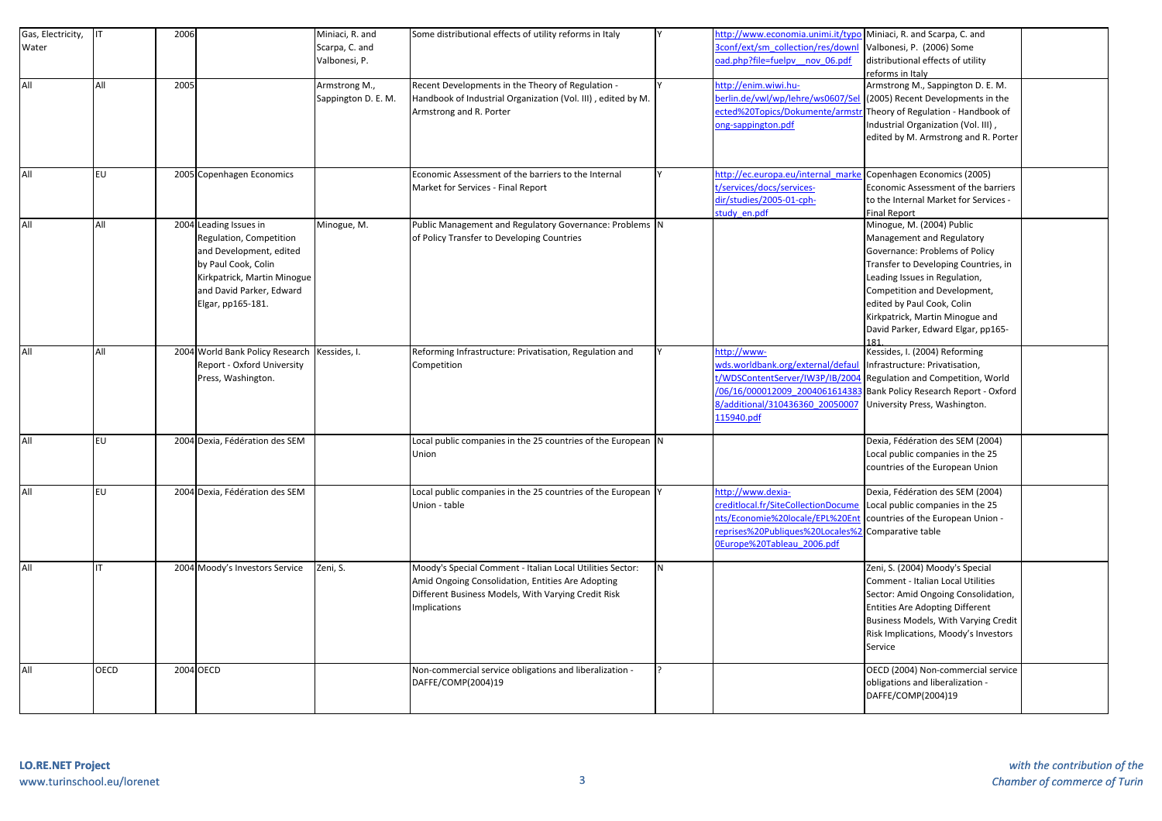| Gas, Electricity, | <b>I</b> IT | 2006 |                                 | Miniaci, R. and     | Some distributional effects of utility reforms in Italy      |     | ttp://www.economia.unimi.it/typo   | Miniaci, R. and Scarpa, C. and         |  |
|-------------------|-------------|------|---------------------------------|---------------------|--------------------------------------------------------------|-----|------------------------------------|----------------------------------------|--|
| Water             |             |      |                                 | Scarpa, C. and      |                                                              |     | conf/ext/sm_collection/res/downl   | Valbonesi, P. (2006) Some              |  |
|                   |             |      |                                 | Valbonesi, P.       |                                                              |     | ad.php?file=fuelpy nov 06.pdf      | distributional effects of utility      |  |
|                   |             |      |                                 |                     |                                                              |     |                                    | reforms in Italy                       |  |
| All               | All         | 2005 |                                 | Armstrong M.,       | Recent Developments in the Theory of Regulation -            |     | ttp://enim.wiwi.hu-                | Armstrong M., Sappington D. E. M.      |  |
|                   |             |      |                                 | Sappington D. E. M. | Handbook of Industrial Organization (Vol. III), edited by M. |     | erlin.de/vwl/wp/lehre/ws0607/Se    | (2005) Recent Developments in the      |  |
|                   |             |      |                                 |                     | Armstrong and R. Porter                                      |     | ected%20Topics/Dokumente/arms      | Theory of Regulation - Handbook of     |  |
|                   |             |      |                                 |                     |                                                              |     | ong-sappington.pdf                 | Industrial Organization (Vol. III),    |  |
|                   |             |      |                                 |                     |                                                              |     |                                    | edited by M. Armstrong and R. Porter   |  |
|                   |             |      |                                 |                     |                                                              |     |                                    |                                        |  |
|                   |             |      |                                 |                     |                                                              |     |                                    |                                        |  |
| All               | EU          |      | 2005 Copenhagen Economics       |                     | Economic Assessment of the barriers to the Internal          |     | ttp://ec.europa.eu/internal marke  | Copenhagen Economics (2005)            |  |
|                   |             |      |                                 |                     | Market for Services - Final Report                           |     | /services/docs/services-           | Economic Assessment of the barriers    |  |
|                   |             |      |                                 |                     |                                                              |     | lir/studies/2005-01-cph-           | to the Internal Market for Services -  |  |
|                   |             |      |                                 |                     |                                                              |     | tudy en.pdf                        | <b>Final Report</b>                    |  |
| All               | All         |      | 2004 Leading Issues in          | Minogue, M.         | Public Management and Regulatory Governance: Problems N      |     |                                    | Minogue, M. (2004) Public              |  |
|                   |             |      | Regulation, Competition         |                     | of Policy Transfer to Developing Countries                   |     |                                    | Management and Regulatory              |  |
|                   |             |      | and Development, edited         |                     |                                                              |     |                                    | Governance: Problems of Policy         |  |
|                   |             |      | by Paul Cook, Colin             |                     |                                                              |     |                                    | Transfer to Developing Countries, in   |  |
|                   |             |      | Kirkpatrick, Martin Minogue     |                     |                                                              |     |                                    | Leading Issues in Regulation,          |  |
|                   |             |      | and David Parker, Edward        |                     |                                                              |     |                                    | Competition and Development,           |  |
|                   |             |      | Elgar, pp165-181.               |                     |                                                              |     |                                    | edited by Paul Cook, Colin             |  |
|                   |             |      |                                 |                     |                                                              |     |                                    | Kirkpatrick, Martin Minogue and        |  |
|                   |             |      |                                 |                     |                                                              |     |                                    | David Parker, Edward Elgar, pp165-     |  |
|                   |             |      |                                 |                     |                                                              |     |                                    |                                        |  |
| All               | All         |      | 2004 World Bank Policy Research | Kessides, I.        | Reforming Infrastructure: Privatisation, Regulation and      |     | ittp://www-                        | Kessides, I. (2004) Reforming          |  |
|                   |             |      | Report - Oxford University      |                     | Competition                                                  |     | vds.worldbank.org/external/defau   | Infrastructure: Privatisation,         |  |
|                   |             |      | Press, Washington.              |                     |                                                              |     | /WDSContentServer/IW3P/IB/2004     | Regulation and Competition, World      |  |
|                   |             |      |                                 |                     |                                                              |     | 06/16/000012009 200406161438       | Bank Policy Research Report - Oxford   |  |
|                   |             |      |                                 |                     |                                                              |     | 3/additional/310436360 20050007    | University Press, Washington.          |  |
|                   |             |      |                                 |                     |                                                              |     | 15940.pdf                          |                                        |  |
| All               | EU          |      | 2004 Dexia, Fédération des SEM  |                     | Local public companies in the 25 countries of the European N |     |                                    | Dexia, Fédération des SEM (2004)       |  |
|                   |             |      |                                 |                     | Union                                                        |     |                                    | Local public companies in the 25       |  |
|                   |             |      |                                 |                     |                                                              |     |                                    | countries of the European Union        |  |
|                   |             |      |                                 |                     |                                                              |     |                                    |                                        |  |
| All               | <b>EU</b>   |      | 2004 Dexia, Fédération des SEM  |                     | Local public companies in the 25 countries of the European Y |     | ttp://www.dexia-                   | Dexia, Fédération des SEM (2004)       |  |
|                   |             |      |                                 |                     | Union - table                                                |     | reditlocal.fr/SiteCollectionDocume | Local public companies in the 25       |  |
|                   |             |      |                                 |                     |                                                              |     | ts/Economie%20locale/EPL%20En      | countries of the European Union -      |  |
|                   |             |      |                                 |                     |                                                              |     | eprises%20Publiques%20Locales%2    | Comparative table                      |  |
|                   |             |      |                                 |                     |                                                              |     | Europe%20Tableau 2006.pdf          |                                        |  |
|                   |             |      |                                 |                     |                                                              |     |                                    |                                        |  |
| All               | IT          |      | 2004 Moody's Investors Service  | Zeni, S.            | Moody's Special Comment - Italian Local Utilities Sector:    | IN. |                                    | Zeni, S. (2004) Moody's Special        |  |
|                   |             |      |                                 |                     | Amid Ongoing Consolidation, Entities Are Adopting            |     |                                    | Comment - Italian Local Utilities      |  |
|                   |             |      |                                 |                     | Different Business Models, With Varying Credit Risk          |     |                                    | Sector: Amid Ongoing Consolidation,    |  |
|                   |             |      |                                 |                     | Implications                                                 |     |                                    | <b>Entities Are Adopting Different</b> |  |
|                   |             |      |                                 |                     |                                                              |     |                                    | Business Models, With Varying Credit   |  |
|                   |             |      |                                 |                     |                                                              |     |                                    | Risk Implications, Moody's Investors   |  |
|                   |             |      |                                 |                     |                                                              |     |                                    | Service                                |  |
| All               | <b>OECD</b> |      | 2004 OECD                       |                     | Non-commercial service obligations and liberalization -      |     |                                    | OECD (2004) Non-commercial service     |  |
|                   |             |      |                                 |                     | DAFFE/COMP(2004)19                                           |     |                                    | obligations and liberalization -       |  |
|                   |             |      |                                 |                     |                                                              |     |                                    | DAFFE/COMP(2004)19                     |  |
|                   |             |      |                                 |                     |                                                              |     |                                    |                                        |  |